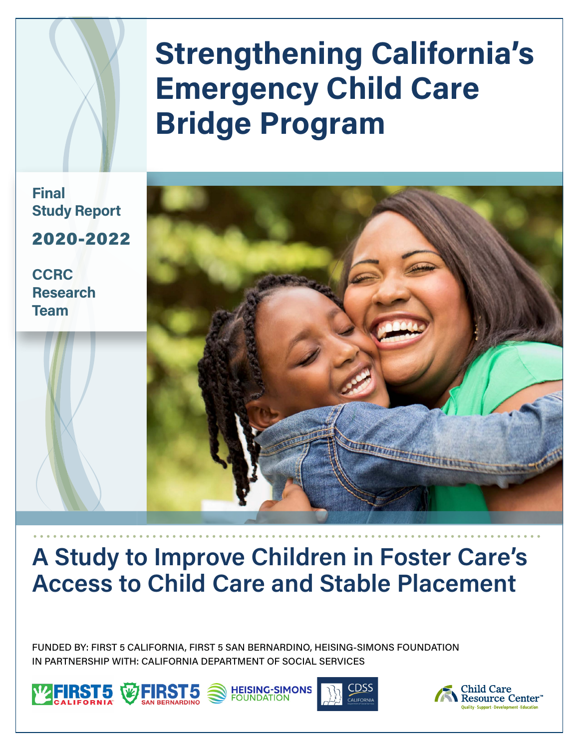# **Strengthening California's Emergency Child Care Bridge Program**

**Final Study Report** 2020-2022

**CCRC Research Team**



## **A Study to Improve Children in Foster Care's Access to Child Care and Stable Placement**

FUNDED BY: FIRST 5 CALIFORNIA, FIRST 5 SAN BERNARDINO, HEISING-SIMONS FOUNDATION IN PARTNERSHIP WITH: CALIFORNIA DEPARTMENT OF SOCIAL SERVICES







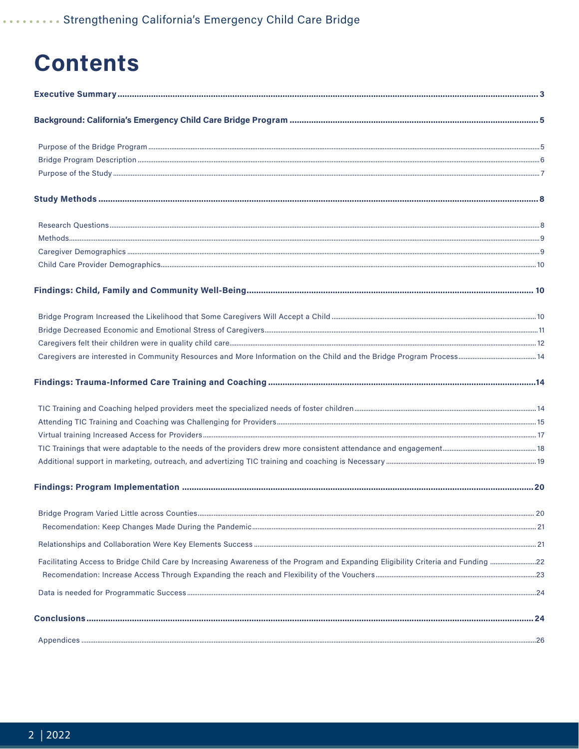## **Contents**

|                                                                                                                                   | 20 |
|-----------------------------------------------------------------------------------------------------------------------------------|----|
|                                                                                                                                   |    |
|                                                                                                                                   |    |
| Facilitating Access to Bridge Child Care by Increasing Awareness of the Program and Expanding Eligibility Criteria and Funding 22 |    |
|                                                                                                                                   |    |
|                                                                                                                                   |    |
|                                                                                                                                   |    |
|                                                                                                                                   |    |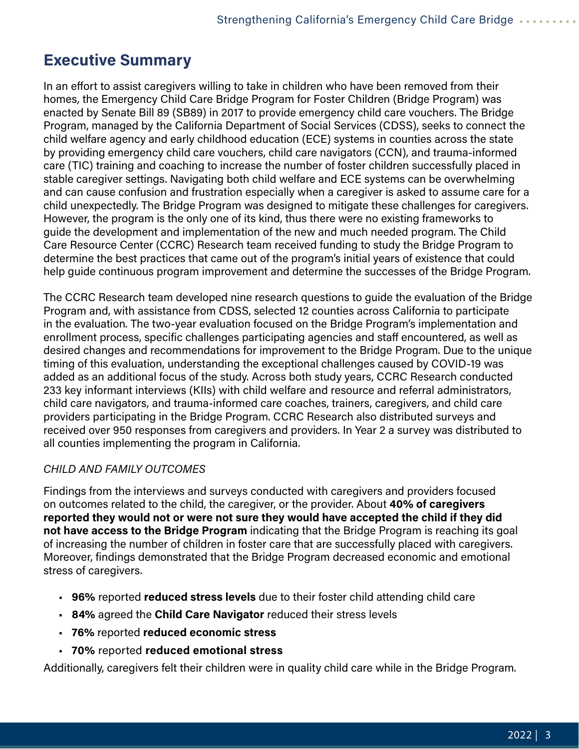### <span id="page-2-0"></span>**Executive Summary**

In an effort to assist caregivers willing to take in children who have been removed from their homes, the Emergency Child Care Bridge Program for Foster Children (Bridge Program) was enacted by Senate Bill 89 (SB89) in 2017 to provide emergency child care vouchers. The Bridge Program, managed by the California Department of Social Services (CDSS), seeks to connect the child welfare agency and early childhood education (ECE) systems in counties across the state by providing emergency child care vouchers, child care navigators (CCN), and trauma-informed care (TIC) training and coaching to increase the number of foster children successfully placed in stable caregiver settings. Navigating both child welfare and ECE systems can be overwhelming and can cause confusion and frustration especially when a caregiver is asked to assume care for a child unexpectedly. The Bridge Program was designed to mitigate these challenges for caregivers. However, the program is the only one of its kind, thus there were no existing frameworks to guide the development and implementation of the new and much needed program. The Child Care Resource Center (CCRC) Research team received funding to study the Bridge Program to determine the best practices that came out of the program's initial years of existence that could help guide continuous program improvement and determine the successes of the Bridge Program.

The CCRC Research team developed nine research questions to guide the evaluation of the Bridge Program and, with assistance from CDSS, selected 12 counties across California to participate in the evaluation. The two-year evaluation focused on the Bridge Program's implementation and enrollment process, specific challenges participating agencies and staff encountered, as well as desired changes and recommendations for improvement to the Bridge Program. Due to the unique timing of this evaluation, understanding the exceptional challenges caused by COVID-19 was added as an additional focus of the study. Across both study years, CCRC Research conducted 233 key informant interviews (KIIs) with child welfare and resource and referral administrators, child care navigators, and trauma-informed care coaches, trainers, caregivers, and child care providers participating in the Bridge Program. CCRC Research also distributed surveys and received over 950 responses from caregivers and providers. In Year 2 a survey was distributed to all counties implementing the program in California.

#### *CHILD AND FAMILY OUTCOMES*

Findings from the interviews and surveys conducted with caregivers and providers focused on outcomes related to the child, the caregiver, or the provider. About **40% of caregivers reported they would not or were not sure they would have accepted the child if they did not have access to the Bridge Program** indicating that the Bridge Program is reaching its goal of increasing the number of children in foster care that are successfully placed with caregivers. Moreover, findings demonstrated that the Bridge Program decreased economic and emotional stress of caregivers.

- **96%** reported **reduced stress levels** due to their foster child attending child care
- **84%** agreed the **Child Care Navigator** reduced their stress levels
- **76%** reported **reduced economic stress**
- **70%** reported **reduced emotional stress**

Additionally, caregivers felt their children were in quality child care while in the Bridge Program.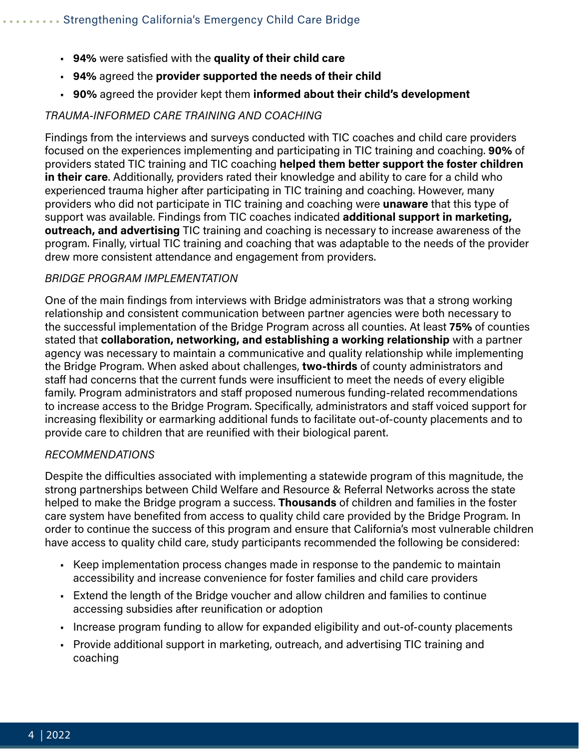- **94%** were satisfied with the **quality of their child care**
- **94%** agreed the **provider supported the needs of their child**
- **90%** agreed the provider kept them **informed about their child's development**

#### *TRAUMA-INFORMED CARE TRAINING AND COACHING*

Findings from the interviews and surveys conducted with TIC coaches and child care providers focused on the experiences implementing and participating in TIC training and coaching. **90%** of providers stated TIC training and TIC coaching **helped them better support the foster children in their care**. Additionally, providers rated their knowledge and ability to care for a child who experienced trauma higher after participating in TIC training and coaching. However, many providers who did not participate in TIC training and coaching were **unaware** that this type of support was available. Findings from TIC coaches indicated **additional support in marketing, outreach, and advertising** TIC training and coaching is necessary to increase awareness of the program. Finally, virtual TIC training and coaching that was adaptable to the needs of the provider drew more consistent attendance and engagement from providers.

#### *BRIDGE PROGRAM IMPLEMENTATION*

One of the main findings from interviews with Bridge administrators was that a strong working relationship and consistent communication between partner agencies were both necessary to the successful implementation of the Bridge Program across all counties. At least **75%** of counties stated that **collaboration, networking, and establishing a working relationship** with a partner agency was necessary to maintain a communicative and quality relationship while implementing the Bridge Program. When asked about challenges, **two-thirds** of county administrators and staff had concerns that the current funds were insufficient to meet the needs of every eligible family. Program administrators and staff proposed numerous funding-related recommendations to increase access to the Bridge Program. Specifically, administrators and staff voiced support for increasing flexibility or earmarking additional funds to facilitate out-of-county placements and to provide care to children that are reunified with their biological parent.

#### *RECOMMENDATIONS*

Despite the difficulties associated with implementing a statewide program of this magnitude, the strong partnerships between Child Welfare and Resource & Referral Networks across the state helped to make the Bridge program a success. **Thousands** of children and families in the foster care system have benefited from access to quality child care provided by the Bridge Program. In order to continue the success of this program and ensure that California's most vulnerable children have access to quality child care, study participants recommended the following be considered:

- Keep implementation process changes made in response to the pandemic to maintain accessibility and increase convenience for foster families and child care providers
- Extend the length of the Bridge voucher and allow children and families to continue accessing subsidies after reunification or adoption
- Increase program funding to allow for expanded eligibility and out-of-county placements
- Provide additional support in marketing, outreach, and advertising TIC training and coaching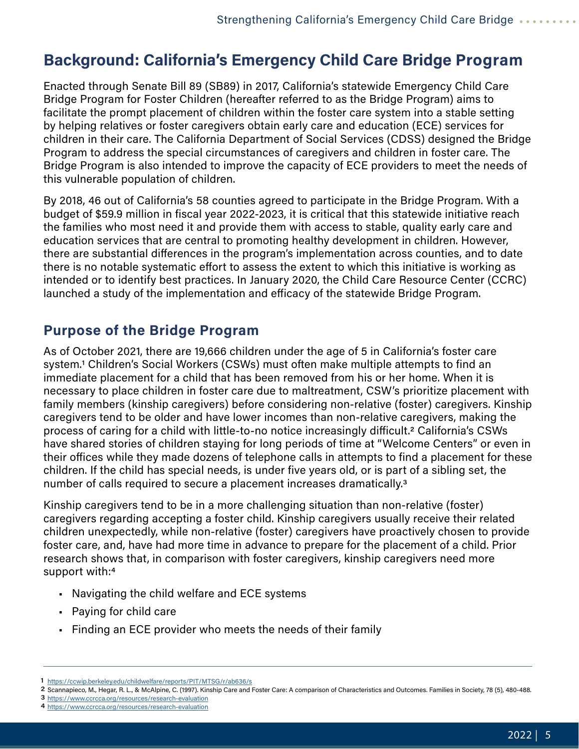### <span id="page-4-0"></span>**Background: California's Emergency Child Care Bridge Program**

Enacted through Senate Bill 89 (SB89) in 2017, California's statewide Emergency Child Care Bridge Program for Foster Children (hereafter referred to as the Bridge Program) aims to facilitate the prompt placement of children within the foster care system into a stable setting by helping relatives or foster caregivers obtain early care and education (ECE) services for children in their care. The California Department of Social Services (CDSS) designed the Bridge Program to address the special circumstances of caregivers and children in foster care. The Bridge Program is also intended to improve the capacity of ECE providers to meet the needs of this vulnerable population of children.

By 2018, 46 out of California's 58 counties agreed to participate in the Bridge Program. With a budget of \$59.9 million in fiscal year 2022-2023, it is critical that this statewide initiative reach the families who most need it and provide them with access to stable, quality early care and education services that are central to promoting healthy development in children. However, there are substantial differences in the program's implementation across counties, and to date there is no notable systematic effort to assess the extent to which this initiative is working as intended or to identify best practices. In January 2020, the Child Care Resource Center (CCRC) launched a study of the implementation and efficacy of the statewide Bridge Program.

### **Purpose of the Bridge Program**

As of October 2021, there are 19,666 children under the age of 5 in California's foster care system.1 Children's Social Workers (CSWs) must often make multiple attempts to find an immediate placement for a child that has been removed from his or her home. When it is necessary to place children in foster care due to maltreatment, CSW's prioritize placement with family members (kinship caregivers) before considering non-relative (foster) caregivers. Kinship caregivers tend to be older and have lower incomes than non-relative caregivers, making the process of caring for a child with little-to-no notice increasingly difficult.2 California's CSWs have shared stories of children staying for long periods of time at "Welcome Centers" or even in their offices while they made dozens of telephone calls in attempts to find a placement for these children. If the child has special needs, is under five years old, or is part of a sibling set, the number of calls required to secure a placement increases dramatically.3

Kinship caregivers tend to be in a more challenging situation than non-relative (foster) caregivers regarding accepting a foster child. Kinship caregivers usually receive their related children unexpectedly, while non-relative (foster) caregivers have proactively chosen to provide foster care, and, have had more time in advance to prepare for the placement of a child. Prior research shows that, in comparison with foster caregivers, kinship caregivers need more support with:4

- Navigating the child welfare and ECE systems
- Paying for child care
- Finding an ECE provider who meets the needs of their family

<sup>1</sup> <https://ccwip.berkeley.edu/childwelfare/reports/PIT/MTSG/r/ab636/s>

<sup>2</sup> Scannapieco, M., Hegar, R. L., & McAlpine, C. (1997). Kinship Care and Foster Care: A comparison of Characteristics and Outcomes. Families in Society, 78 (5), 480-488.

<sup>3</sup> [https://www.ccrcca.org/resources/research-evaluation](https://www.ccrcca.org/resources/research-evaluation )

<sup>4</sup> <https://www.ccrcca.org/resources/research-evaluation>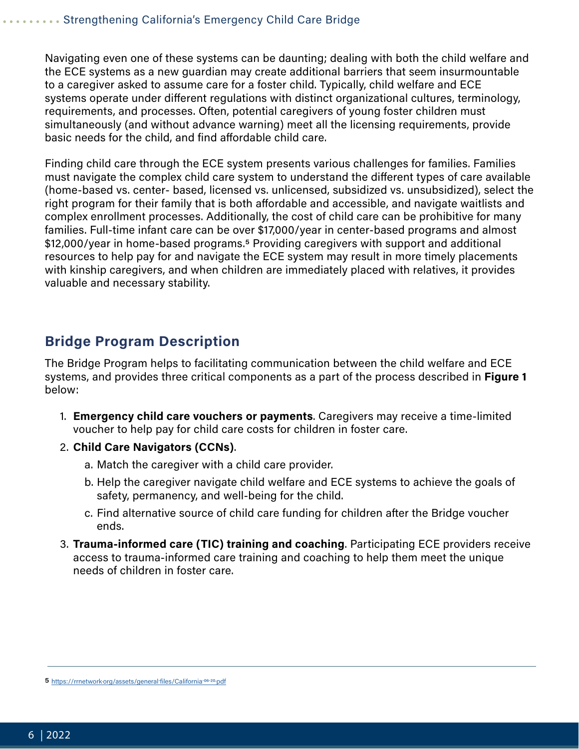<span id="page-5-0"></span>Navigating even one of these systems can be daunting; dealing with both the child welfare and the ECE systems as a new guardian may create additional barriers that seem insurmountable to a caregiver asked to assume care for a foster child. Typically, child welfare and ECE systems operate under different regulations with distinct organizational cultures, terminology, requirements, and processes. Often, potential caregivers of young foster children must simultaneously (and without advance warning) meet all the licensing requirements, provide basic needs for the child, and find affordable child care.

Finding child care through the ECE system presents various challenges for families. Families must navigate the complex child care system to understand the different types of care available (home-based vs. center- based, licensed vs. unlicensed, subsidized vs. unsubsidized), select the right program for their family that is both affordable and accessible, and navigate waitlists and complex enrollment processes. Additionally, the cost of child care can be prohibitive for many families. Full-time infant care can be over \$17,000/year in center-based programs and almost \$12,000/year in home-based programs.5 Providing caregivers with support and additional resources to help pay for and navigate the ECE system may result in more timely placements with kinship caregivers, and when children are immediately placed with relatives, it provides valuable and necessary stability.

### **Bridge Program Description**

The Bridge Program helps to facilitating communication between the child welfare and ECE systems, and provides three critical components as a part of the process described in **Figure 1** below:

- 1. **Emergency child care vouchers or payments**. Caregivers may receive a time-limited voucher to help pay for child care costs for children in foster care.
- 2. **Child Care Navigators (CCNs)**.
	- a. Match the caregiver with a child care provider.
	- b. Help the caregiver navigate child welfare and ECE systems to achieve the goals of safety, permanency, and well-being for the child.
	- c. Find alternative source of child care funding for children after the Bridge voucher ends.
- 3. **Trauma-informed care (TIC) training and coaching**. Participating ECE providers receive access to trauma-informed care training and coaching to help them meet the unique needs of children in foster care.

<sup>5</sup> <https://rrnetwork.org/assets/general-files/California-06-20.pdf>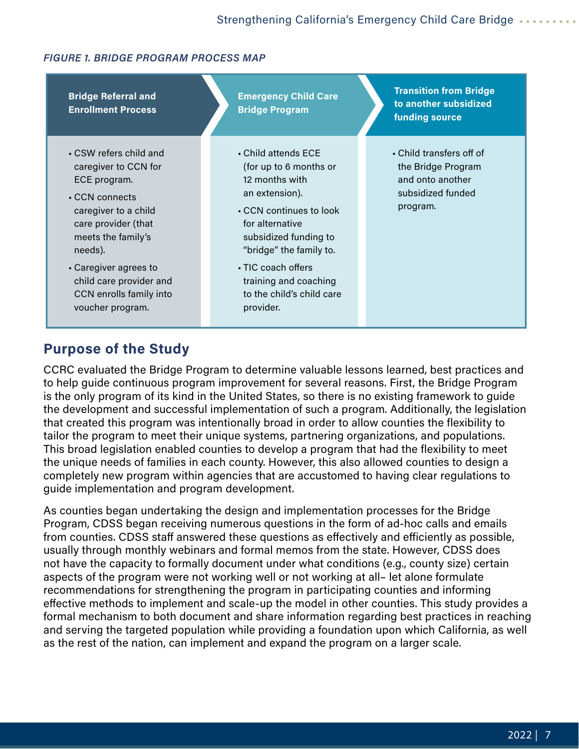#### <span id="page-6-0"></span>*FIGURE 1. BRIDGE PROGRAM PROCESS MAP*



### **Purpose of the Study**

CCRC evaluated the Bridge Program to determine valuable lessons learned, best practices and to help guide continuous program improvement for several reasons. First, the Bridge Program is the only program of its kind in the United States, so there is no existing framework to guide the development and successful implementation of such a program. Additionally, the legislation that created this program was intentionally broad in order to allow counties the flexibility to tailor the program to meet their unique systems, partnering organizations, and populations. This broad legislation enabled counties to develop a program that had the flexibility to meet the unique needs of families in each county. However, this also allowed counties to design a completely new program within agencies that are accustomed to having clear regulations to guide implementation and program development.

As counties began undertaking the design and implementation processes for the Bridge Program, CDSS began receiving numerous questions in the form of ad-hoc calls and emails from counties. CDSS staff answered these questions as effectively and efficiently as possible, usually through monthly webinars and formal memos from the state. However, CDSS does not have the capacity to formally document under what conditions (e.g., county size) certain aspects of the program were not working well or not working at all– let alone formulate recommendations for strengthening the program in participating counties and informing effective methods to implement and scale-up the model in other counties. This study provides a formal mechanism to both document and share information regarding best practices in reaching and serving the targeted population while providing a foundation upon which California, as well as the rest of the nation, can implement and expand the program on a larger scale.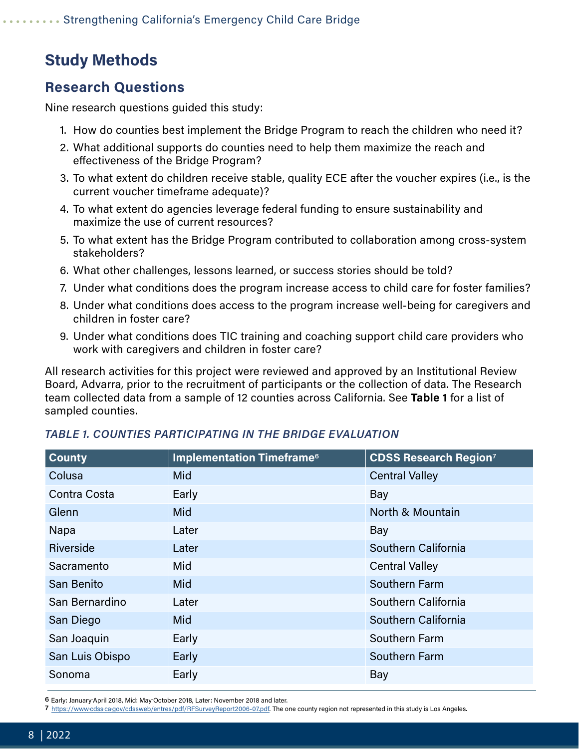## <span id="page-7-0"></span>**Study Methods**

### **Research Questions**

Nine research questions guided this study:

- 1. How do counties best implement the Bridge Program to reach the children who need it?
- 2. What additional supports do counties need to help them maximize the reach and effectiveness of the Bridge Program?
- 3. To what extent do children receive stable, quality ECE after the voucher expires (i.e., is the current voucher timeframe adequate)?
- 4. To what extent do agencies leverage federal funding to ensure sustainability and maximize the use of current resources?
- 5. To what extent has the Bridge Program contributed to collaboration among cross-system stakeholders?
- 6. What other challenges, lessons learned, or success stories should be told?
- 7. Under what conditions does the program increase access to child care for foster families?
- 8. Under what conditions does access to the program increase well-being for caregivers and children in foster care?
- 9. Under what conditions does TIC training and coaching support child care providers who work with caregivers and children in foster care?

All research activities for this project were reviewed and approved by an Institutional Review Board, Advarra, prior to the recruitment of participants or the collection of data. The Research team collected data from a sample of 12 counties across California. See **Table 1** for a list of sampled counties.

| <b>Implementation Timeframe<sup>6</sup></b> | <b>CDSS Research Region<sup>7</sup></b> |
|---------------------------------------------|-----------------------------------------|
| <b>Mid</b>                                  | <b>Central Valley</b>                   |
| Early                                       | Bay                                     |
| <b>Mid</b>                                  | North & Mountain                        |
| Later                                       | Bay                                     |
| Later                                       | Southern California                     |
| Mid                                         | <b>Central Valley</b>                   |
| <b>Mid</b>                                  | Southern Farm                           |
| Later                                       | Southern California                     |
| <b>Mid</b>                                  | Southern California                     |
| Early                                       | Southern Farm                           |
| Early                                       | Southern Farm                           |
| Early                                       | Bay                                     |
|                                             |                                         |

#### *TABLE 1. COUNTIES PARTICIPATING IN THE BRIDGE EVALUATION*

7 [https://www.cdss.ca.gov/cdssweb/entres/pdf/RFSurveyReport2006-07.pdf.](https://www.cdss.ca.gov/cdssweb/entres/pdf/RFSurveyReport2006-07.pdf) The one county region not represented in this study is Los Angeles.

<sup>6</sup> Early: January-April 2018, Mid: May-October 2018, Later: November 2018 and later.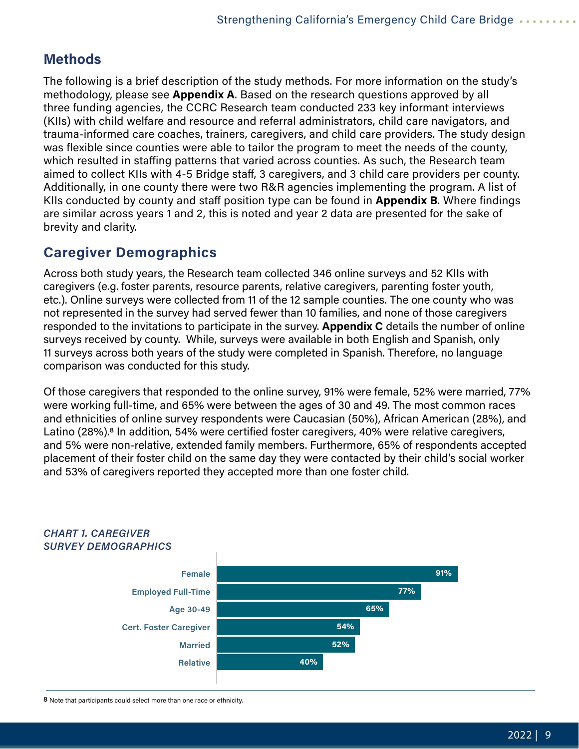### <span id="page-8-0"></span>**Methods**

The following is a brief description of the study methods. For more information on the study's methodology, please see **Appendix A**. Based on the research questions approved by all three funding agencies, the CCRC Research team conducted 233 key informant interviews (KIIs) with child welfare and resource and referral administrators, child care navigators, and trauma-informed care coaches, trainers, caregivers, and child care providers. The study design was flexible since counties were able to tailor the program to meet the needs of the county, which resulted in staffing patterns that varied across counties. As such, the Research team aimed to collect KIIs with 4-5 Bridge staff, 3 caregivers, and 3 child care providers per county. Additionally, in one county there were two R&R agencies implementing the program. A list of KIIs conducted by county and staff position type can be found in **Appendix B**. Where findings are similar across years 1 and 2, this is noted and year 2 data are presented for the sake of brevity and clarity.

### **Caregiver Demographics**

Across both study years, the Research team collected 346 online surveys and 52 KIIs with caregivers (e.g. foster parents, resource parents, relative caregivers, parenting foster youth, etc.). Online surveys were collected from 11 of the 12 sample counties. The one county who was not represented in the survey had served fewer than 10 families, and none of those caregivers responded to the invitations to participate in the survey. **Appendix C** details the number of online surveys received by county. While, surveys were available in both English and Spanish, only 11 surveys across both years of the study were completed in Spanish. Therefore, no language comparison was conducted for this study.

Of those caregivers that responded to the online survey, 91% were female, 52% were married, 77% were working full-time, and 65% were between the ages of 30 and 49. The most common races and ethnicities of online survey respondents were Caucasian (50%), African American (28%), and Latino (28%).<sup>8</sup> In addition, 54% were certified foster caregivers, 40% were relative caregivers, and 5% were non-relative, extended family members. Furthermore, 65% of respondents accepted placement of their foster child on the same day they were contacted by their child's social worker and 53% of caregivers reported they accepted more than one foster child.



#### *CHART 1. CAREGIVER SURVEY DEMOGRAPHICS*

8 Note that participants could select more than one race or ethnicity.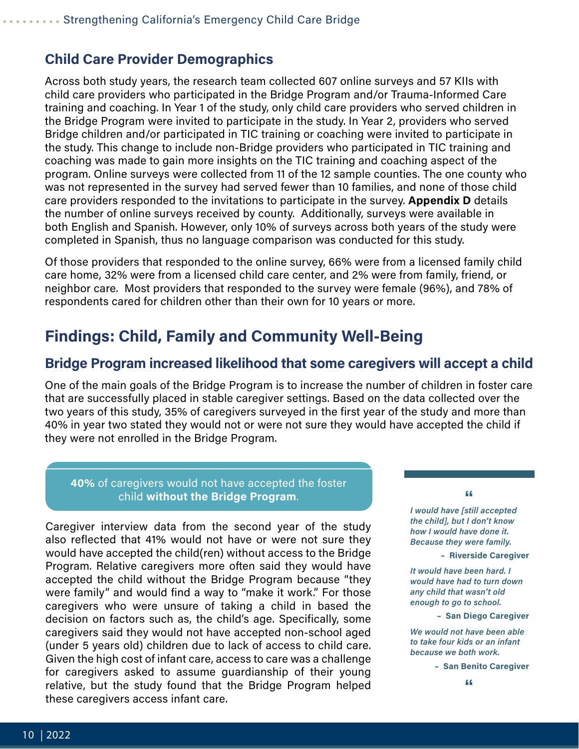#### <span id="page-9-0"></span>**Child Care Provider Demographics**

Across both study years, the research team collected 607 online surveys and 57 KIIs with child care providers who participated in the Bridge Program and/or Trauma-Informed Care training and coaching. In Year 1 of the study, only child care providers who served children in the Bridge Program were invited to participate in the study. In Year 2, providers who served Bridge children and/or participated in TIC training or coaching were invited to participate in the study. This change to include non-Bridge providers who participated in TIC training and coaching was made to gain more insights on the TIC training and coaching aspect of the program. Online surveys were collected from 11 of the 12 sample counties. The one county who was not represented in the survey had served fewer than 10 families, and none of those child care providers responded to the invitations to participate in the survey. **Appendix D** details the number of online surveys received by county. Additionally, surveys were available in both English and Spanish. However, only 10% of surveys across both years of the study were completed in Spanish, thus no language comparison was conducted for this study.

Of those providers that responded to the online survey, 66% were from a licensed family child care home, 32% were from a licensed child care center, and 2% were from family, friend, or neighbor care. Most providers that responded to the survey were female (96%), and 78% of respondents cared for children other than their own for 10 years or more.

### **Findings: Child, Family and Community Well-Being**

#### **Bridge Program increased likelihood that some caregivers will accept a child**

One of the main goals of the Bridge Program is to increase the number of children in foster care that are successfully placed in stable caregiver settings. Based on the data collected over the two years of this study, 35% of caregivers surveyed in the first year of the study and more than 40% in year two stated they would not or were not sure they would have accepted the child if they were not enrolled in the Bridge Program.

#### **40%** of caregivers would not have accepted the foster child **without the Bridge Program**.

Caregiver interview data from the second year of the study also reflected that 41% would not have or were not sure they would have accepted the child(ren) without access to the Bridge Program. Relative caregivers more often said they would have accepted the child without the Bridge Program because "they were family" and would find a way to "make it work." For those caregivers who were unsure of taking a child in based the decision on factors such as, the child's age. Specifically, some caregivers said they would not have accepted non-school aged (under 5 years old) children due to lack of access to child care. Given the high cost of infant care, access to care was a challenge for caregivers asked to assume guardianship of their young relative, but the study found that the Bridge Program helped these caregivers access infant care.

**"** *I would have [still accepted the child], but I don't know how I would have done it. Because they were family.*

 **– Riverside Caregiver**

*It would have been hard. I would have had to turn down any child that wasn't old enough to go to school.*

 **– San Diego Caregiver**

*We would not have been able to take four kids or an infant because we both work.*

 **– San Benito Caregiver**

**"**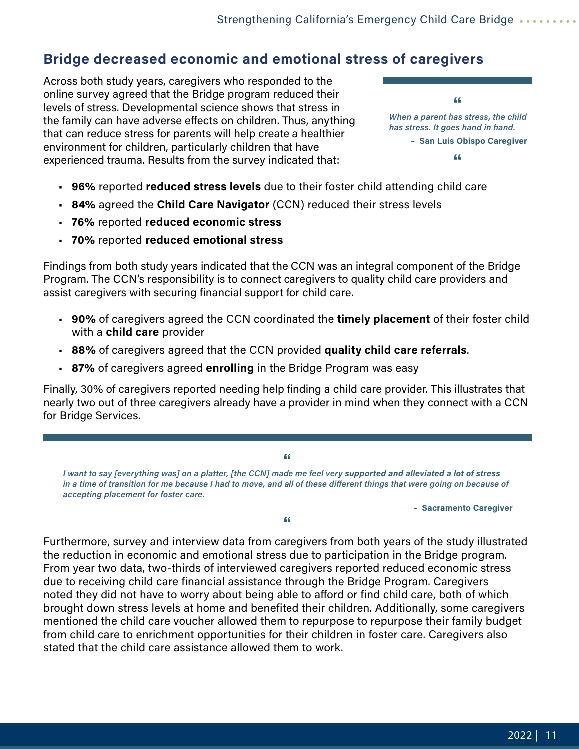### <span id="page-10-0"></span>**Bridge decreased economic and emotional stress of caregivers**

Across both study years, caregivers who responded to the online survey agreed that the Bridge program reduced their levels of stress. Developmental science shows that stress in the family can have adverse effects on children. Thus, anything that can reduce stress for parents will help create a healthier environment for children, particularly children that have experienced trauma. Results from the survey indicated that:

**"** *When a parent has stress, the child has stress. It goes hand in hand.*  **– San Luis Obispo Caregiver "**

- **96%** reported **reduced stress levels** due to their foster child attending child care
- **84%** agreed the **Child Care Navigator** (CCN) reduced their stress levels
- **76%** reported **reduced economic stress**
- **70%** reported **reduced emotional stress**

Findings from both study years indicated that the CCN was an integral component of the Bridge Program. The CCN's responsibility is to connect caregivers to quality child care providers and assist caregivers with securing financial support for child care.

- **90%** of caregivers agreed the CCN coordinated the **timely placement** of their foster child with a **child care** provider
- **88%** of caregivers agreed that the CCN provided **quality child care referrals**.
- **87%** of caregivers agreed **enrolling** in the Bridge Program was easy

Finally, 30% of caregivers reported needing help finding a child care provider. This illustrates that nearly two out of three caregivers already have a provider in mind when they connect with a CCN for Bridge Services.

**"** *I want to say [everything was] on a platter, [the CCN] made me feel very supported and alleviated a lot of stress in a time of transition for me because I had to move, and all of these different things that were going on because of accepting placement for foster care.*

 **– Sacramento Caregiver**

**"**

Furthermore, survey and interview data from caregivers from both years of the study illustrated the reduction in economic and emotional stress due to participation in the Bridge program. From year two data, two-thirds of interviewed caregivers reported reduced economic stress due to receiving child care financial assistance through the Bridge Program. Caregivers noted they did not have to worry about being able to afford or find child care, both of which brought down stress levels at home and benefited their children. Additionally, some caregivers mentioned the child care voucher allowed them to repurpose to repurpose their family budget from child care to enrichment opportunities for their children in foster care. Caregivers also stated that the child care assistance allowed them to work.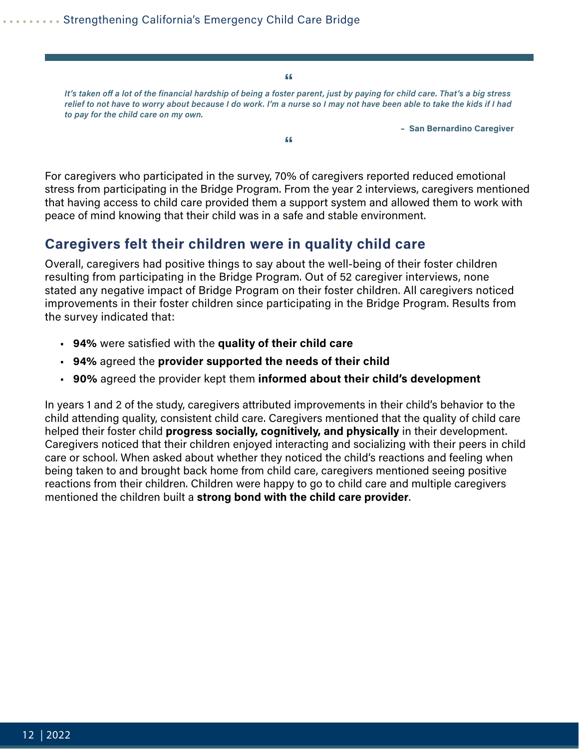**"**

<span id="page-11-0"></span>*It's taken off a lot of the financial hardship of being a foster parent, just by paying for child care. That's a big stress relief to not have to worry about because I do work. I'm a nurse so I may not have been able to take the kids if I had to pay for the child care on my own.*

**"**

 **– San Bernardino Caregiver**

For caregivers who participated in the survey, 70% of caregivers reported reduced emotional stress from participating in the Bridge Program. From the year 2 interviews, caregivers mentioned that having access to child care provided them a support system and allowed them to work with peace of mind knowing that their child was in a safe and stable environment.

#### **Caregivers felt their children were in quality child care**

Overall, caregivers had positive things to say about the well-being of their foster children resulting from participating in the Bridge Program. Out of 52 caregiver interviews, none stated any negative impact of Bridge Program on their foster children. All caregivers noticed improvements in their foster children since participating in the Bridge Program. Results from the survey indicated that:

- **94%** were satisfied with the **quality of their child care**
- **94%** agreed the **provider supported the needs of their child**
- **90%** agreed the provider kept them **informed about their child's development**

In years 1 and 2 of the study, caregivers attributed improvements in their child's behavior to the child attending quality, consistent child care. Caregivers mentioned that the quality of child care helped their foster child **progress socially, cognitively, and physically** in their development. Caregivers noticed that their children enjoyed interacting and socializing with their peers in child care or school. When asked about whether they noticed the child's reactions and feeling when being taken to and brought back home from child care, caregivers mentioned seeing positive reactions from their children. Children were happy to go to child care and multiple caregivers mentioned the children built a **strong bond with the child care provider**.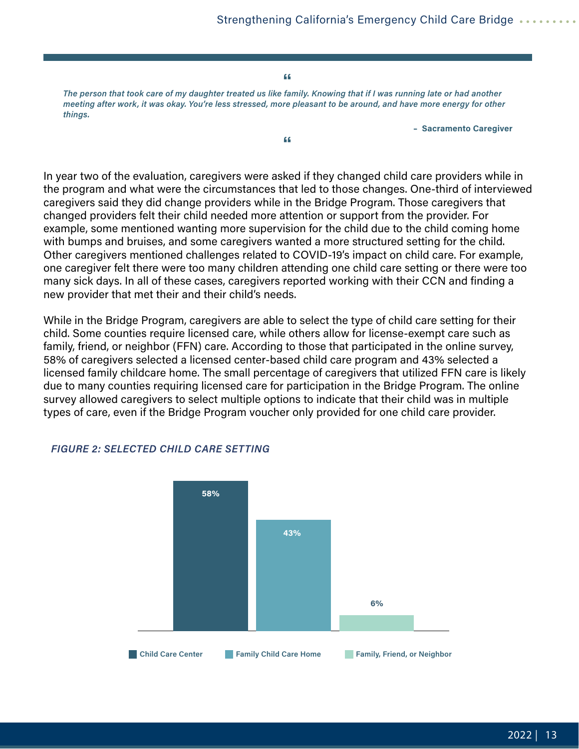**"**

<span id="page-12-0"></span>*The person that took care of my daughter treated us like family. Knowing that if I was running late or had another meeting after work, it was okay. You're less stressed, more pleasant to be around, and have more energy for other things.*

**"**

 **– Sacramento Caregiver**

In year two of the evaluation, caregivers were asked if they changed child care providers while in the program and what were the circumstances that led to those changes. One-third of interviewed caregivers said they did change providers while in the Bridge Program. Those caregivers that changed providers felt their child needed more attention or support from the provider. For example, some mentioned wanting more supervision for the child due to the child coming home with bumps and bruises, and some caregivers wanted a more structured setting for the child. Other caregivers mentioned challenges related to COVID-19's impact on child care. For example, one caregiver felt there were too many children attending one child care setting or there were too many sick days. In all of these cases, caregivers reported working with their CCN and finding a new provider that met their and their child's needs.

While in the Bridge Program, caregivers are able to select the type of child care setting for their child. Some counties require licensed care, while others allow for license-exempt care such as family, friend, or neighbor (FFN) care. According to those that participated in the online survey, 58% of caregivers selected a licensed center-based child care program and 43% selected a licensed family childcare home. The small percentage of caregivers that utilized FFN care is likely due to many counties requiring licensed care for participation in the Bridge Program. The online survey allowed caregivers to select multiple options to indicate that their child was in multiple types of care, even if the Bridge Program voucher only provided for one child care provider.



#### *FIGURE 2: SELECTED CHILD CARE SETTING*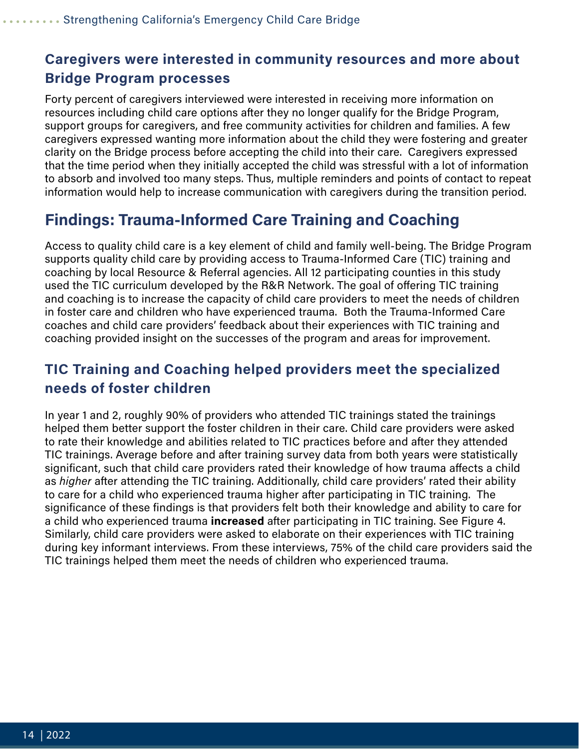### <span id="page-13-0"></span>**Caregivers were interested in community resources and more about Bridge Program processes**

Forty percent of caregivers interviewed were interested in receiving more information on resources including child care options after they no longer qualify for the Bridge Program, support groups for caregivers, and free community activities for children and families. A few caregivers expressed wanting more information about the child they were fostering and greater clarity on the Bridge process before accepting the child into their care. Caregivers expressed that the time period when they initially accepted the child was stressful with a lot of information to absorb and involved too many steps. Thus, multiple reminders and points of contact to repeat information would help to increase communication with caregivers during the transition period.

### **Findings: Trauma-Informed Care Training and Coaching**

Access to quality child care is a key element of child and family well-being. The Bridge Program supports quality child care by providing access to Trauma-Informed Care (TIC) training and coaching by local Resource & Referral agencies. All 12 participating counties in this study used the TIC curriculum developed by the R&R Network. The goal of offering TIC training and coaching is to increase the capacity of child care providers to meet the needs of children in foster care and children who have experienced trauma. Both the Trauma-Informed Care coaches and child care providers' feedback about their experiences with TIC training and coaching provided insight on the successes of the program and areas for improvement.

### **TIC Training and Coaching helped providers meet the specialized needs of foster children**

In year 1 and 2, roughly 90% of providers who attended TIC trainings stated the trainings helped them better support the foster children in their care. Child care providers were asked to rate their knowledge and abilities related to TIC practices before and after they attended TIC trainings. Average before and after training survey data from both years were statistically significant, such that child care providers rated their knowledge of how trauma affects a child as *higher* after attending the TIC training. Additionally, child care providers' rated their ability to care for a child who experienced trauma higher after participating in TIC training. The significance of these findings is that providers felt both their knowledge and ability to care for a child who experienced trauma **increased** after participating in TIC training. See Figure 4. Similarly, child care providers were asked to elaborate on their experiences with TIC training during key informant interviews. From these interviews, 75% of the child care providers said the TIC trainings helped them meet the needs of children who experienced trauma.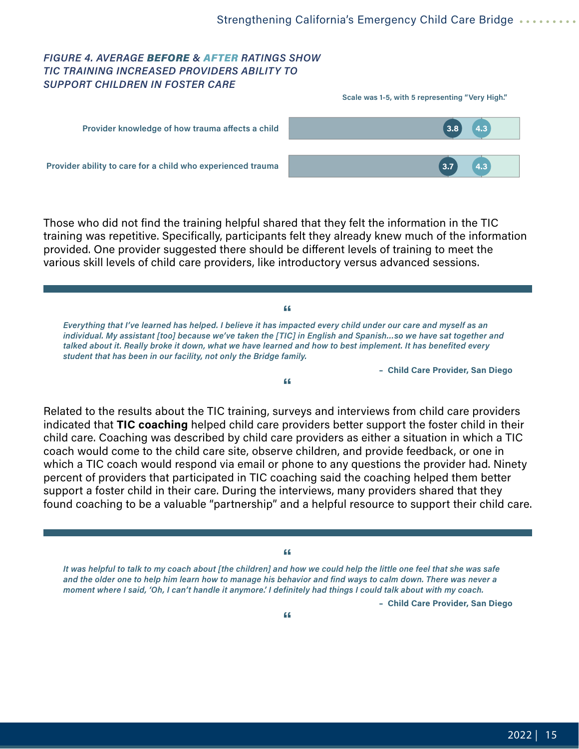#### <span id="page-14-0"></span>*FIGURE 4. AVERAGE BEFORE & AFTER RATINGS SHOW TIC TRAINING INCREASED PROVIDERS ABILITY TO SUPPORT CHILDREN IN FOSTER CARE*

|                                                             | Scale was 1-5, with 5 representing "Very High." |
|-------------------------------------------------------------|-------------------------------------------------|
| Provider knowledge of how trauma affects a child            | $\left(3.8\right)$<br>4.3                       |
| Provider ability to care for a child who experienced trauma | 4.3<br>3.7                                      |

Those who did not find the training helpful shared that they felt the information in the TIC training was repetitive. Specifically, participants felt they already knew much of the information provided. One provider suggested there should be different levels of training to meet the various skill levels of child care providers, like introductory versus advanced sessions.

**"** *Everything that I've learned has helped. I believe it has impacted every child under our care and myself as an individual. My assistant [too] because we've taken the [TIC] in English and Spanish...so we have sat together and talked about it. Really broke it down, what we have learned and how to best implement. It has benefited every student that has been in our facility, not only the Bridge family.*

 **– Child Care Provider, San Diego**

**"**

Related to the results about the TIC training, surveys and interviews from child care providers indicated that **TIC coaching** helped child care providers better support the foster child in their child care. Coaching was described by child care providers as either a situation in which a TIC coach would come to the child care site, observe children, and provide feedback, or one in which a TIC coach would respond via email or phone to any questions the provider had. Ninety percent of providers that participated in TIC coaching said the coaching helped them better support a foster child in their care. During the interviews, many providers shared that they found coaching to be a valuable "partnership" and a helpful resource to support their child care.

**"** *It was helpful to talk to my coach about [the children] and how we could help the little one feel that she was safe and the older one to help him learn how to manage his behavior and find ways to calm down. There was never a moment where I said, 'Oh, I can't handle it anymore.' I definitely had things I could talk about with my coach.*

 **– Child Care Provider, San Diego**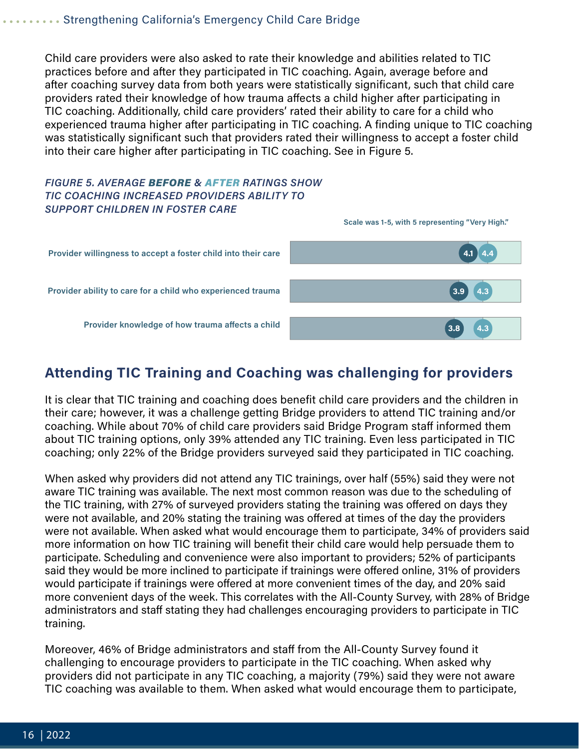Child care providers were also asked to rate their knowledge and abilities related to TIC practices before and after they participated in TIC coaching. Again, average before and after coaching survey data from both years were statistically significant, such that child care providers rated their knowledge of how trauma affects a child higher after participating in TIC coaching. Additionally, child care providers' rated their ability to care for a child who experienced trauma higher after participating in TIC coaching. A finding unique to TIC coaching was statistically significant such that providers rated their willingness to accept a foster child into their care higher after participating in TIC coaching. See in Figure 5.

#### *FIGURE 5. AVERAGE BEFORE & AFTER RATINGS SHOW TIC COACHING INCREASED PROVIDERS ABILITY TO SUPPORT CHILDREN IN FOSTER CARE*



### **Attending TIC Training and Coaching was challenging for providers**

It is clear that TIC training and coaching does benefit child care providers and the children in their care; however, it was a challenge getting Bridge providers to attend TIC training and/or coaching. While about 70% of child care providers said Bridge Program staff informed them about TIC training options, only 39% attended any TIC training. Even less participated in TIC coaching; only 22% of the Bridge providers surveyed said they participated in TIC coaching.

When asked why providers did not attend any TIC trainings, over half (55%) said they were not aware TIC training was available. The next most common reason was due to the scheduling of the TIC training, with 27% of surveyed providers stating the training was offered on days they were not available, and 20% stating the training was offered at times of the day the providers were not available. When asked what would encourage them to participate, 34% of providers said more information on how TIC training will benefit their child care would help persuade them to participate. Scheduling and convenience were also important to providers; 52% of participants said they would be more inclined to participate if trainings were offered online, 31% of providers would participate if trainings were offered at more convenient times of the day, and 20% said more convenient days of the week. This correlates with the All-County Survey, with 28% of Bridge administrators and staff stating they had challenges encouraging providers to participate in TIC training.

Moreover, 46% of Bridge administrators and staff from the All-County Survey found it challenging to encourage providers to participate in the TIC coaching. When asked why providers did not participate in any TIC coaching, a majority (79%) said they were not aware TIC coaching was available to them. When asked what would encourage them to participate,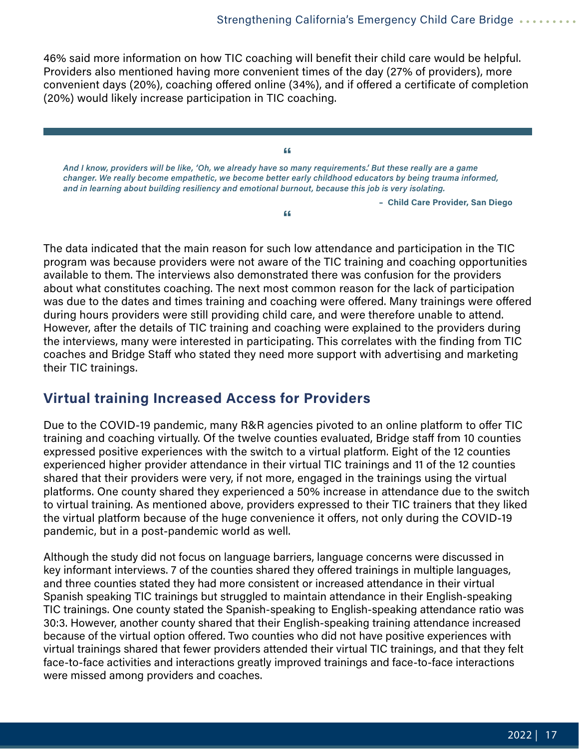<span id="page-16-0"></span>46% said more information on how TIC coaching will benefit their child care would be helpful. Providers also mentioned having more convenient times of the day (27% of providers), more convenient days (20%), coaching offered online (34%), and if offered a certificate of completion (20%) would likely increase participation in TIC coaching.

**"** *And I know, providers will be like, 'Oh, we already have so many requirements.' But these really are a game changer. We really become empathetic, we become better early childhood educators by being trauma informed, and in learning about building resiliency and emotional burnout, because this job is very isolating.*

**"**

 **– Child Care Provider, San Diego**

The data indicated that the main reason for such low attendance and participation in the TIC program was because providers were not aware of the TIC training and coaching opportunities available to them. The interviews also demonstrated there was confusion for the providers about what constitutes coaching. The next most common reason for the lack of participation was due to the dates and times training and coaching were offered. Many trainings were offered during hours providers were still providing child care, and were therefore unable to attend. However, after the details of TIC training and coaching were explained to the providers during the interviews, many were interested in participating. This correlates with the finding from TIC coaches and Bridge Staff who stated they need more support with advertising and marketing their TIC trainings.

### **Virtual training Increased Access for Providers**

Due to the COVID-19 pandemic, many R&R agencies pivoted to an online platform to offer TIC training and coaching virtually. Of the twelve counties evaluated, Bridge staff from 10 counties expressed positive experiences with the switch to a virtual platform. Eight of the 12 counties experienced higher provider attendance in their virtual TIC trainings and 11 of the 12 counties shared that their providers were very, if not more, engaged in the trainings using the virtual platforms. One county shared they experienced a 50% increase in attendance due to the switch to virtual training. As mentioned above, providers expressed to their TIC trainers that they liked the virtual platform because of the huge convenience it offers, not only during the COVID-19 pandemic, but in a post-pandemic world as well.

Although the study did not focus on language barriers, language concerns were discussed in key informant interviews. 7 of the counties shared they offered trainings in multiple languages, and three counties stated they had more consistent or increased attendance in their virtual Spanish speaking TIC trainings but struggled to maintain attendance in their English-speaking TIC trainings. One county stated the Spanish-speaking to English-speaking attendance ratio was 30:3. However, another county shared that their English-speaking training attendance increased because of the virtual option offered. Two counties who did not have positive experiences with virtual trainings shared that fewer providers attended their virtual TIC trainings, and that they felt face-to-face activities and interactions greatly improved trainings and face-to-face interactions were missed among providers and coaches.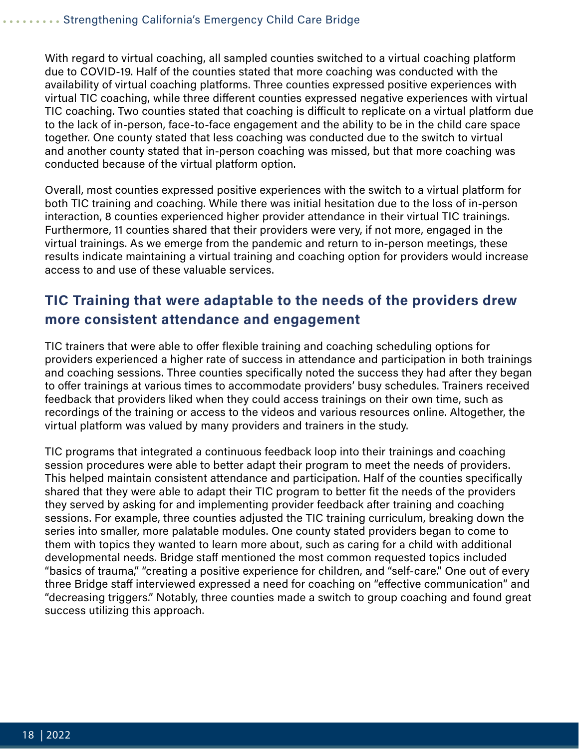<span id="page-17-0"></span>With regard to virtual coaching, all sampled counties switched to a virtual coaching platform due to COVID-19. Half of the counties stated that more coaching was conducted with the availability of virtual coaching platforms. Three counties expressed positive experiences with virtual TIC coaching, while three different counties expressed negative experiences with virtual TIC coaching. Two counties stated that coaching is difficult to replicate on a virtual platform due to the lack of in-person, face-to-face engagement and the ability to be in the child care space together. One county stated that less coaching was conducted due to the switch to virtual and another county stated that in-person coaching was missed, but that more coaching was conducted because of the virtual platform option.

Overall, most counties expressed positive experiences with the switch to a virtual platform for both TIC training and coaching. While there was initial hesitation due to the loss of in-person interaction, 8 counties experienced higher provider attendance in their virtual TIC trainings. Furthermore, 11 counties shared that their providers were very, if not more, engaged in the virtual trainings. As we emerge from the pandemic and return to in-person meetings, these results indicate maintaining a virtual training and coaching option for providers would increase access to and use of these valuable services.

### **TIC Training that were adaptable to the needs of the providers drew more consistent attendance and engagement**

TIC trainers that were able to offer flexible training and coaching scheduling options for providers experienced a higher rate of success in attendance and participation in both trainings and coaching sessions. Three counties specifically noted the success they had after they began to offer trainings at various times to accommodate providers' busy schedules. Trainers received feedback that providers liked when they could access trainings on their own time, such as recordings of the training or access to the videos and various resources online. Altogether, the virtual platform was valued by many providers and trainers in the study.

TIC programs that integrated a continuous feedback loop into their trainings and coaching session procedures were able to better adapt their program to meet the needs of providers. This helped maintain consistent attendance and participation. Half of the counties specifically shared that they were able to adapt their TIC program to better fit the needs of the providers they served by asking for and implementing provider feedback after training and coaching sessions. For example, three counties adjusted the TIC training curriculum, breaking down the series into smaller, more palatable modules. One county stated providers began to come to them with topics they wanted to learn more about, such as caring for a child with additional developmental needs. Bridge staff mentioned the most common requested topics included "basics of trauma," "creating a positive experience for children, and "self-care." One out of every three Bridge staff interviewed expressed a need for coaching on "effective communication" and "decreasing triggers." Notably, three counties made a switch to group coaching and found great success utilizing this approach.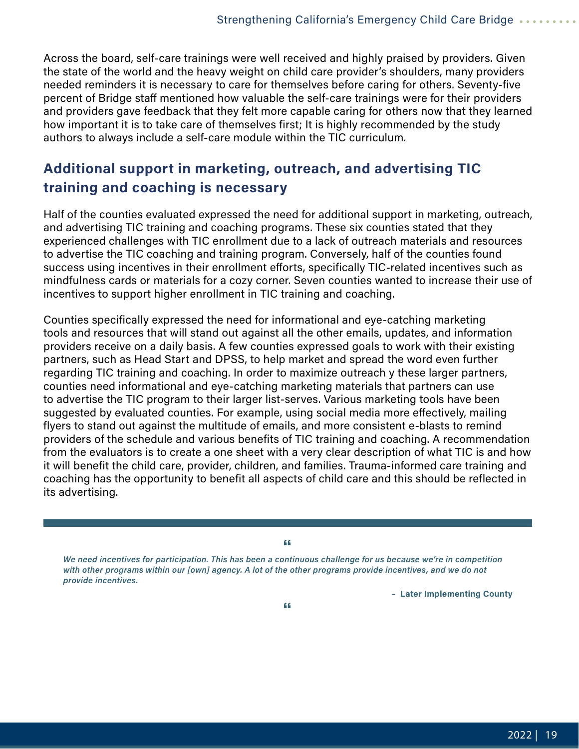<span id="page-18-0"></span>Across the board, self-care trainings were well received and highly praised by providers. Given the state of the world and the heavy weight on child care provider's shoulders, many providers needed reminders it is necessary to care for themselves before caring for others. Seventy-five percent of Bridge staff mentioned how valuable the self-care trainings were for their providers and providers gave feedback that they felt more capable caring for others now that they learned how important it is to take care of themselves first; It is highly recommended by the study authors to always include a self-care module within the TIC curriculum.

### **Additional support in marketing, outreach, and advertising TIC training and coaching is necessary**

Half of the counties evaluated expressed the need for additional support in marketing, outreach, and advertising TIC training and coaching programs. These six counties stated that they experienced challenges with TIC enrollment due to a lack of outreach materials and resources to advertise the TIC coaching and training program. Conversely, half of the counties found success using incentives in their enrollment efforts, specifically TIC-related incentives such as mindfulness cards or materials for a cozy corner. Seven counties wanted to increase their use of incentives to support higher enrollment in TIC training and coaching.

Counties specifically expressed the need for informational and eye-catching marketing tools and resources that will stand out against all the other emails, updates, and information providers receive on a daily basis. A few counties expressed goals to work with their existing partners, such as Head Start and DPSS, to help market and spread the word even further regarding TIC training and coaching. In order to maximize outreach y these larger partners, counties need informational and eye-catching marketing materials that partners can use to advertise the TIC program to their larger list-serves. Various marketing tools have been suggested by evaluated counties. For example, using social media more effectively, mailing flyers to stand out against the multitude of emails, and more consistent e-blasts to remind providers of the schedule and various benefits of TIC training and coaching. A recommendation from the evaluators is to create a one sheet with a very clear description of what TIC is and how it will benefit the child care, provider, children, and families. Trauma-informed care training and coaching has the opportunity to benefit all aspects of child care and this should be reflected in its advertising.

**"** *We need incentives for participation. This has been a continuous challenge for us because we're in competition with other programs within our [own] agency. A lot of the other programs provide incentives, and we do not provide incentives.*

 **– Later Implementing County**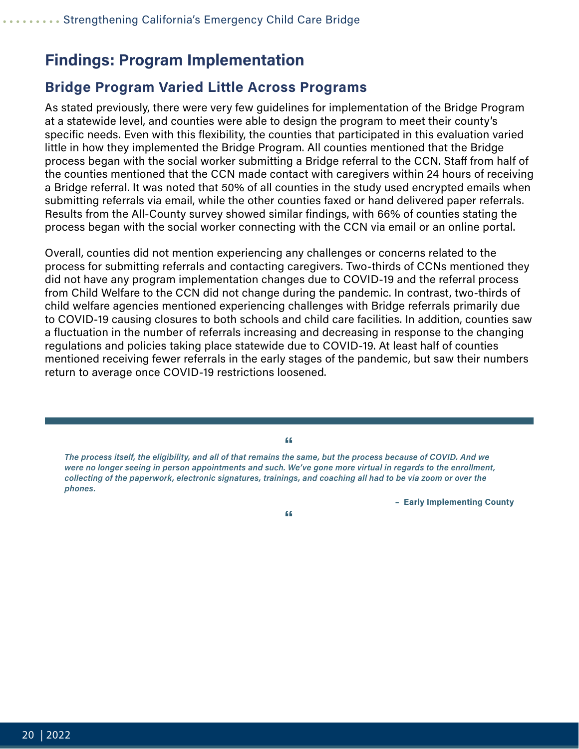### <span id="page-19-0"></span>**Findings: Program Implementation**

#### **Bridge Program Varied Little Across Programs**

As stated previously, there were very few guidelines for implementation of the Bridge Program at a statewide level, and counties were able to design the program to meet their county's specific needs. Even with this flexibility, the counties that participated in this evaluation varied little in how they implemented the Bridge Program. All counties mentioned that the Bridge process began with the social worker submitting a Bridge referral to the CCN. Staff from half of the counties mentioned that the CCN made contact with caregivers within 24 hours of receiving a Bridge referral. It was noted that 50% of all counties in the study used encrypted emails when submitting referrals via email, while the other counties faxed or hand delivered paper referrals. Results from the All-County survey showed similar findings, with 66% of counties stating the process began with the social worker connecting with the CCN via email or an online portal.

Overall, counties did not mention experiencing any challenges or concerns related to the process for submitting referrals and contacting caregivers. Two-thirds of CCNs mentioned they did not have any program implementation changes due to COVID-19 and the referral process from Child Welfare to the CCN did not change during the pandemic. In contrast, two-thirds of child welfare agencies mentioned experiencing challenges with Bridge referrals primarily due to COVID-19 causing closures to both schools and child care facilities. In addition, counties saw a fluctuation in the number of referrals increasing and decreasing in response to the changing regulations and policies taking place statewide due to COVID-19. At least half of counties mentioned receiving fewer referrals in the early stages of the pandemic, but saw their numbers return to average once COVID-19 restrictions loosened.

**"** *The process itself, the eligibility, and all of that remains the same, but the process because of COVID. And we were no longer seeing in person appointments and such. We've gone more virtual in regards to the enrollment, collecting of the paperwork, electronic signatures, trainings, and coaching all had to be via zoom or over the phones.*

 **– Early Implementing County**

**"**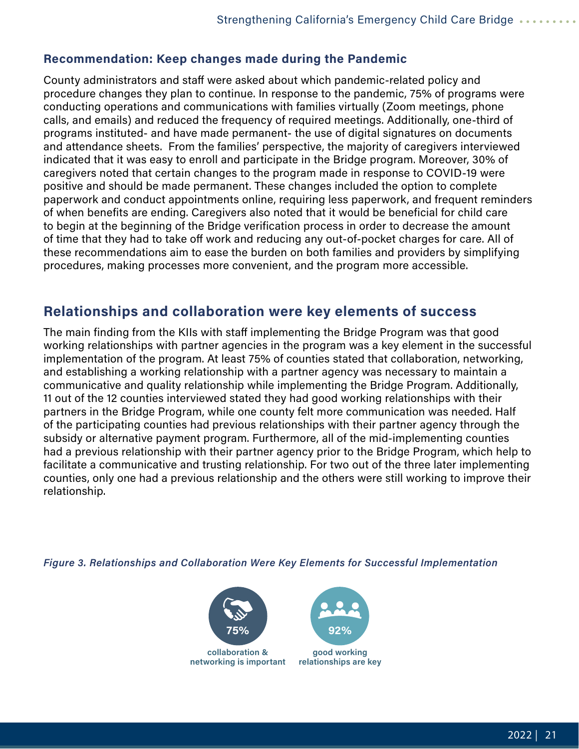#### <span id="page-20-0"></span>**Recommendation: Keep changes made during the Pandemic**

County administrators and staff were asked about which pandemic-related policy and procedure changes they plan to continue. In response to the pandemic, 75% of programs were conducting operations and communications with families virtually (Zoom meetings, phone calls, and emails) and reduced the frequency of required meetings. Additionally, one-third of programs instituted- and have made permanent- the use of digital signatures on documents and attendance sheets. From the families' perspective, the majority of caregivers interviewed indicated that it was easy to enroll and participate in the Bridge program. Moreover, 30% of caregivers noted that certain changes to the program made in response to COVID-19 were positive and should be made permanent. These changes included the option to complete paperwork and conduct appointments online, requiring less paperwork, and frequent reminders of when benefits are ending. Caregivers also noted that it would be beneficial for child care to begin at the beginning of the Bridge verification process in order to decrease the amount of time that they had to take off work and reducing any out-of-pocket charges for care. All of these recommendations aim to ease the burden on both families and providers by simplifying procedures, making processes more convenient, and the program more accessible.

### **Relationships and collaboration were key elements of success**

The main finding from the KIIs with staff implementing the Bridge Program was that good working relationships with partner agencies in the program was a key element in the successful implementation of the program. At least 75% of counties stated that collaboration, networking, and establishing a working relationship with a partner agency was necessary to maintain a communicative and quality relationship while implementing the Bridge Program. Additionally, 11 out of the 12 counties interviewed stated they had good working relationships with their partners in the Bridge Program, while one county felt more communication was needed. Half of the participating counties had previous relationships with their partner agency through the subsidy or alternative payment program. Furthermore, all of the mid-implementing counties had a previous relationship with their partner agency prior to the Bridge Program, which help to facilitate a communicative and trusting relationship. For two out of the three later implementing counties, only one had a previous relationship and the others were still working to improve their relationship.

*Figure 3. Relationships and Collaboration Were Key Elements for Successful Implementation*



**networking is important**



**good working relationships are key**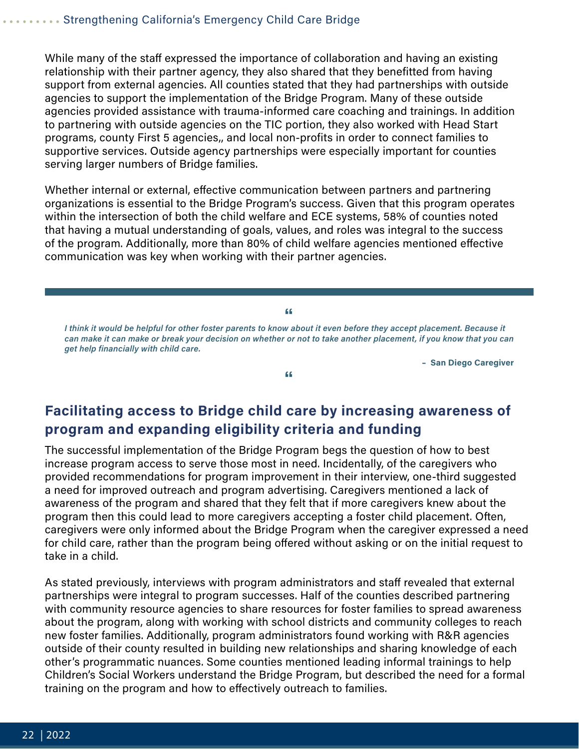<span id="page-21-0"></span>While many of the staff expressed the importance of collaboration and having an existing relationship with their partner agency, they also shared that they benefitted from having support from external agencies. All counties stated that they had partnerships with outside agencies to support the implementation of the Bridge Program. Many of these outside agencies provided assistance with trauma-informed care coaching and trainings. In addition to partnering with outside agencies on the TIC portion, they also worked with Head Start programs, county First 5 agencies,, and local non-profits in order to connect families to supportive services. Outside agency partnerships were especially important for counties serving larger numbers of Bridge families.

Whether internal or external, effective communication between partners and partnering organizations is essential to the Bridge Program's success. Given that this program operates within the intersection of both the child welfare and ECE systems, 58% of counties noted that having a mutual understanding of goals, values, and roles was integral to the success of the program. Additionally, more than 80% of child welfare agencies mentioned effective communication was key when working with their partner agencies.

**"** *I think it would be helpful for other foster parents to know about it even before they accept placement. Because it can make it can make or break your decision on whether or not to take another placement, if you know that you can get help financially with child care.*

**"**

 **– San Diego Caregiver**

### **Facilitating access to Bridge child care by increasing awareness of program and expanding eligibility criteria and funding**

The successful implementation of the Bridge Program begs the question of how to best increase program access to serve those most in need. Incidentally, of the caregivers who provided recommendations for program improvement in their interview, one-third suggested a need for improved outreach and program advertising. Caregivers mentioned a lack of awareness of the program and shared that they felt that if more caregivers knew about the program then this could lead to more caregivers accepting a foster child placement. Often, caregivers were only informed about the Bridge Program when the caregiver expressed a need for child care, rather than the program being offered without asking or on the initial request to take in a child.

As stated previously, interviews with program administrators and staff revealed that external partnerships were integral to program successes. Half of the counties described partnering with community resource agencies to share resources for foster families to spread awareness about the program, along with working with school districts and community colleges to reach new foster families. Additionally, program administrators found working with R&R agencies outside of their county resulted in building new relationships and sharing knowledge of each other's programmatic nuances. Some counties mentioned leading informal trainings to help Children's Social Workers understand the Bridge Program, but described the need for a formal training on the program and how to effectively outreach to families.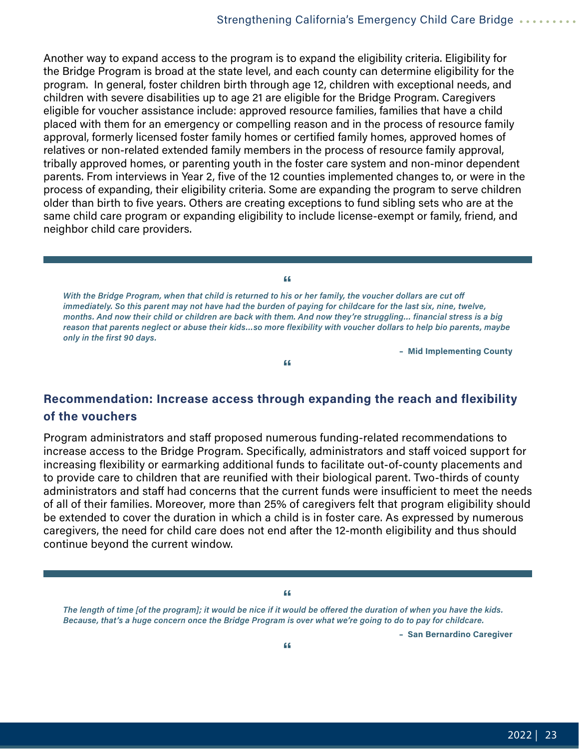<span id="page-22-0"></span>Another way to expand access to the program is to expand the eligibility criteria. Eligibility for the Bridge Program is broad at the state level, and each county can determine eligibility for the program. In general, foster children birth through age 12, children with exceptional needs, and children with severe disabilities up to age 21 are eligible for the Bridge Program. Caregivers eligible for voucher assistance include: approved resource families, families that have a child placed with them for an emergency or compelling reason and in the process of resource family approval, formerly licensed foster family homes or certified family homes, approved homes of relatives or non-related extended family members in the process of resource family approval, tribally approved homes, or parenting youth in the foster care system and non-minor dependent parents. From interviews in Year 2, five of the 12 counties implemented changes to, or were in the process of expanding, their eligibility criteria. Some are expanding the program to serve children older than birth to five years. Others are creating exceptions to fund sibling sets who are at the same child care program or expanding eligibility to include license-exempt or family, friend, and neighbor child care providers.

**"** *With the Bridge Program, when that child is returned to his or her family, the voucher dollars are cut off immediately. So this parent may not have had the burden of paying for childcare for the last six, nine, twelve, months. And now their child or children are back with them. And now they're struggling… financial stress is a big reason that parents neglect or abuse their kids…so more flexibility with voucher dollars to help bio parents, maybe only in the first 90 days.*

**"**

 **– Mid Implementing County**

#### **Recommendation: Increase access through expanding the reach and flexibility of the vouchers**

Program administrators and staff proposed numerous funding-related recommendations to increase access to the Bridge Program. Specifically, administrators and staff voiced support for increasing flexibility or earmarking additional funds to facilitate out-of-county placements and to provide care to children that are reunified with their biological parent. Two-thirds of county administrators and staff had concerns that the current funds were insufficient to meet the needs of all of their families. Moreover, more than 25% of caregivers felt that program eligibility should be extended to cover the duration in which a child is in foster care. As expressed by numerous caregivers, the need for child care does not end after the 12-month eligibility and thus should continue beyond the current window.

**"**

*The length of time [of the program]; it would be nice if it would be offered the duration of when you have the kids. Because, that's a huge concern once the Bridge Program is over what we're going to do to pay for childcare.*

 **– San Bernardino Caregiver**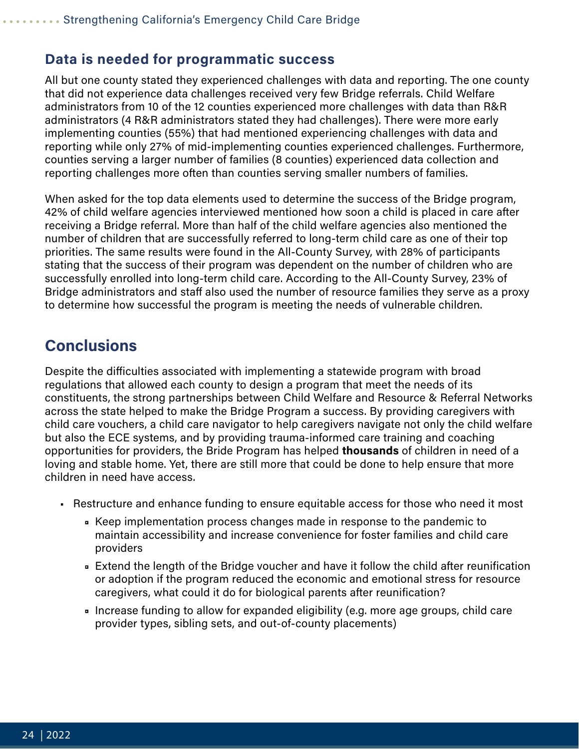#### <span id="page-23-0"></span>**Data is needed for programmatic success**

All but one county stated they experienced challenges with data and reporting. The one county that did not experience data challenges received very few Bridge referrals. Child Welfare administrators from 10 of the 12 counties experienced more challenges with data than R&R administrators (4 R&R administrators stated they had challenges). There were more early implementing counties (55%) that had mentioned experiencing challenges with data and reporting while only 27% of mid-implementing counties experienced challenges. Furthermore, counties serving a larger number of families (8 counties) experienced data collection and reporting challenges more often than counties serving smaller numbers of families.

When asked for the top data elements used to determine the success of the Bridge program, 42% of child welfare agencies interviewed mentioned how soon a child is placed in care after receiving a Bridge referral. More than half of the child welfare agencies also mentioned the number of children that are successfully referred to long-term child care as one of their top priorities. The same results were found in the All-County Survey, with 28% of participants stating that the success of their program was dependent on the number of children who are successfully enrolled into long-term child care. According to the All-County Survey, 23% of Bridge administrators and staff also used the number of resource families they serve as a proxy to determine how successful the program is meeting the needs of vulnerable children.

### **Conclusions**

Despite the difficulties associated with implementing a statewide program with broad regulations that allowed each county to design a program that meet the needs of its constituents, the strong partnerships between Child Welfare and Resource & Referral Networks across the state helped to make the Bridge Program a success. By providing caregivers with child care vouchers, a child care navigator to help caregivers navigate not only the child welfare but also the ECE systems, and by providing trauma-informed care training and coaching opportunities for providers, the Bride Program has helped **thousands** of children in need of a loving and stable home. Yet, there are still more that could be done to help ensure that more children in need have access.

- Restructure and enhance funding to ensure equitable access for those who need it most
	- Keep implementation process changes made in response to the pandemic to maintain accessibility and increase convenience for foster families and child care providers
	- Extend the length of the Bridge voucher and have it follow the child after reunification or adoption if the program reduced the economic and emotional stress for resource caregivers, what could it do for biological parents after reunification?
	- Increase funding to allow for expanded eligibility (e.g. more age groups, child care provider types, sibling sets, and out-of-county placements)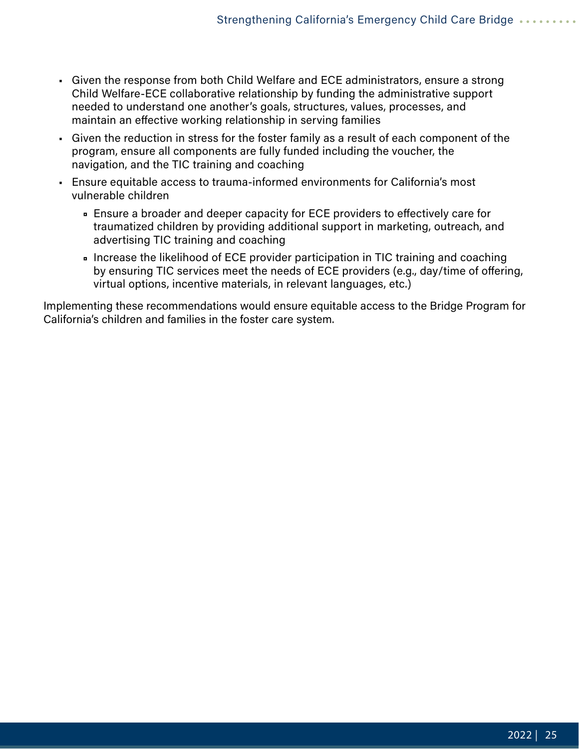- Given the response from both Child Welfare and ECE administrators, ensure a strong Child Welfare-ECE collaborative relationship by funding the administrative support needed to understand one another's goals, structures, values, processes, and maintain an effective working relationship in serving families
- Given the reduction in stress for the foster family as a result of each component of the program, ensure all components are fully funded including the voucher, the navigation, and the TIC training and coaching
- Ensure equitable access to trauma-informed environments for California's most vulnerable children
	- Ensure a broader and deeper capacity for ECE providers to effectively care for traumatized children by providing additional support in marketing, outreach, and advertising TIC training and coaching
	- Increase the likelihood of ECE provider participation in TIC training and coaching by ensuring TIC services meet the needs of ECE providers (e.g., day/time of offering, virtual options, incentive materials, in relevant languages, etc.)

Implementing these recommendations would ensure equitable access to the Bridge Program for California's children and families in the foster care system.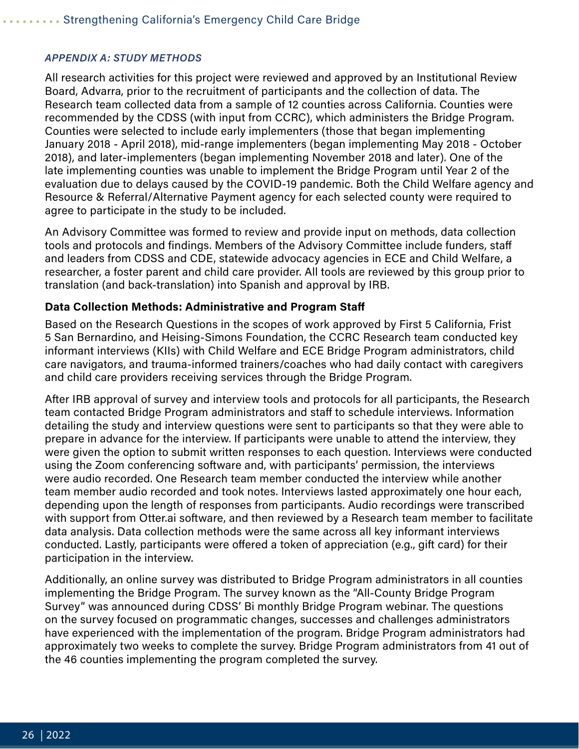#### <span id="page-25-0"></span>*APPENDIX A: STUDY METHODS*

All research activities for this project were reviewed and approved by an Institutional Review Board, Advarra, prior to the recruitment of participants and the collection of data. The Research team collected data from a sample of 12 counties across California. Counties were recommended by the CDSS (with input from CCRC), which administers the Bridge Program. Counties were selected to include early implementers (those that began implementing January 2018 - April 2018), mid-range implementers (began implementing May 2018 - October 2018), and later-implementers (began implementing November 2018 and later). One of the late implementing counties was unable to implement the Bridge Program until Year 2 of the evaluation due to delays caused by the COVID-19 pandemic. Both the Child Welfare agency and Resource & Referral/Alternative Payment agency for each selected county were required to agree to participate in the study to be included.

An Advisory Committee was formed to review and provide input on methods, data collection tools and protocols and findings. Members of the Advisory Committee include funders, staff and leaders from CDSS and CDE, statewide advocacy agencies in ECE and Child Welfare, a researcher, a foster parent and child care provider. All tools are reviewed by this group prior to translation (and back-translation) into Spanish and approval by IRB.

#### **Data Collection Methods: Administrative and Program Staff**

Based on the Research Questions in the scopes of work approved by First 5 California, Frist 5 San Bernardino, and Heising-Simons Foundation, the CCRC Research team conducted key informant interviews (KIIs) with Child Welfare and ECE Bridge Program administrators, child care navigators, and trauma-informed trainers/coaches who had daily contact with caregivers and child care providers receiving services through the Bridge Program.

After IRB approval of survey and interview tools and protocols for all participants, the Research team contacted Bridge Program administrators and staff to schedule interviews. Information detailing the study and interview questions were sent to participants so that they were able to prepare in advance for the interview. If participants were unable to attend the interview, they were given the option to submit written responses to each question. Interviews were conducted using the Zoom conferencing software and, with participants' permission, the interviews were audio recorded. One Research team member conducted the interview while another team member audio recorded and took notes. Interviews lasted approximately one hour each, depending upon the length of responses from participants. Audio recordings were transcribed with support from Otter.ai software, and then reviewed by a Research team member to facilitate data analysis. Data collection methods were the same across all key informant interviews conducted. Lastly, participants were offered a token of appreciation (e.g., gift card) for their participation in the interview.

Additionally, an online survey was distributed to Bridge Program administrators in all counties implementing the Bridge Program. The survey known as the "All-County Bridge Program Survey" was announced during CDSS' Bi monthly Bridge Program webinar. The questions on the survey focused on programmatic changes, successes and challenges administrators have experienced with the implementation of the program. Bridge Program administrators had approximately two weeks to complete the survey. Bridge Program administrators from 41 out of the 46 counties implementing the program completed the survey.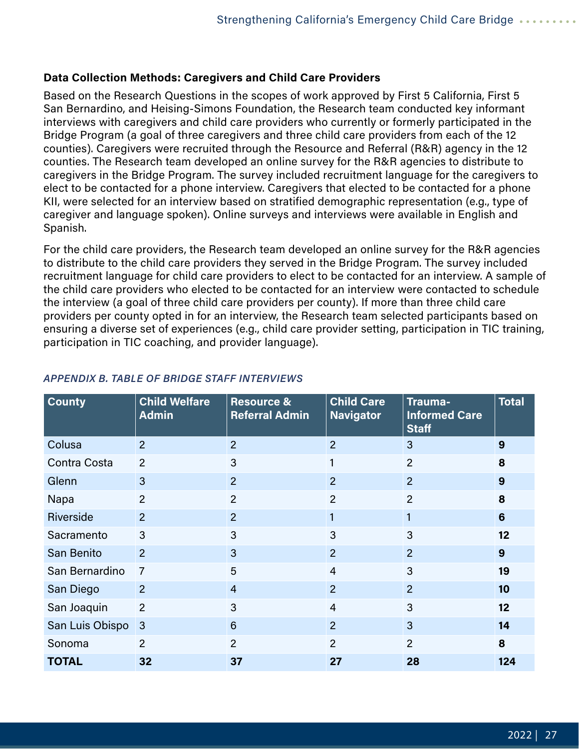#### **Data Collection Methods: Caregivers and Child Care Providers**

Based on the Research Questions in the scopes of work approved by First 5 California, First 5 San Bernardino, and Heising-Simons Foundation, the Research team conducted key informant interviews with caregivers and child care providers who currently or formerly participated in the Bridge Program (a goal of three caregivers and three child care providers from each of the 12 counties). Caregivers were recruited through the Resource and Referral (R&R) agency in the 12 counties. The Research team developed an online survey for the R&R agencies to distribute to caregivers in the Bridge Program. The survey included recruitment language for the caregivers to elect to be contacted for a phone interview. Caregivers that elected to be contacted for a phone KII, were selected for an interview based on stratified demographic representation (e.g., type of caregiver and language spoken). Online surveys and interviews were available in English and Spanish.

For the child care providers, the Research team developed an online survey for the R&R agencies to distribute to the child care providers they served in the Bridge Program. The survey included recruitment language for child care providers to elect to be contacted for an interview. A sample of the child care providers who elected to be contacted for an interview were contacted to schedule the interview (a goal of three child care providers per county). If more than three child care providers per county opted in for an interview, the Research team selected participants based on ensuring a diverse set of experiences (e.g., child care provider setting, participation in TIC training, participation in TIC coaching, and provider language).

| <b>County</b>    | <b>Child Welfare</b><br><b>Admin</b> | <b>Resource &amp;</b><br><b>Referral Admin</b> | <b>Child Care</b><br><b>Navigator</b> | Trauma-<br><b>Informed Care</b><br><b>Staff</b> | <b>Total</b>    |
|------------------|--------------------------------------|------------------------------------------------|---------------------------------------|-------------------------------------------------|-----------------|
| Colusa           | 2                                    | $\overline{2}$                                 | $\overline{2}$                        | 3                                               | 9               |
| Contra Costa     | 2                                    | 3                                              | 1                                     | $\overline{2}$                                  | 8               |
| Glenn            | 3                                    | $\overline{2}$                                 | $\overline{2}$                        | $\overline{2}$                                  | 9               |
| Napa             | $\overline{2}$                       | $\overline{2}$                                 | $\overline{2}$                        | $\overline{2}$                                  | 8               |
| <b>Riverside</b> | 2                                    | $\overline{2}$                                 | $\mathbf{1}$                          | 1                                               | $6\phantom{1}6$ |
| Sacramento       | 3                                    | 3                                              | 3                                     | 3                                               | 12              |
| San Benito       | $\overline{2}$                       | 3                                              | $\overline{2}$                        | $\overline{2}$                                  | 9               |
| San Bernardino   | $\overline{7}$                       | 5                                              | $\overline{4}$                        | 3                                               | 19              |
| San Diego        | 2                                    | $\overline{4}$                                 | $\overline{2}$                        | $\overline{2}$                                  | 10              |
| San Joaquin      | 2                                    | 3                                              | $\overline{4}$                        | 3                                               | 12              |
| San Luis Obispo  | $\mathbf{3}$                         | $6\phantom{1}$                                 | 2 <sup>1</sup>                        | 3                                               | 14              |
| Sonoma           | $\overline{2}$                       | $\overline{2}$                                 | $\overline{2}$                        | $\overline{2}$                                  | 8               |
| TOTAL            | 32                                   | 37                                             | 27                                    | 28                                              | 124             |

#### *APPENDIX B. TABLE OF BRIDGE STAFF INTERVIEWS*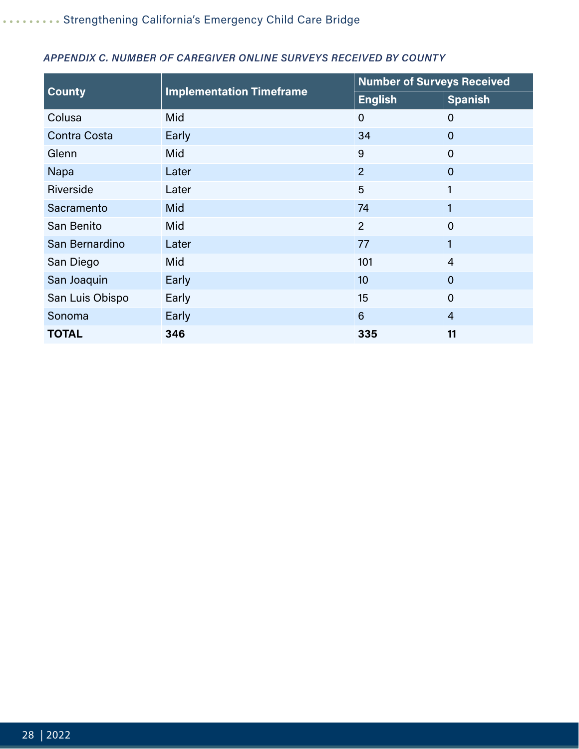| <b>County</b>   | <b>Implementation Timeframe</b> | <b>Number of Surveys Received</b> |                |
|-----------------|---------------------------------|-----------------------------------|----------------|
|                 |                                 | <b>English</b>                    | <b>Spanish</b> |
| Colusa          | Mid                             | $\mathbf 0$                       | $\overline{0}$ |
| Contra Costa    | Early                           | 34                                | $\overline{0}$ |
| Glenn           | Mid                             | 9                                 | $\overline{0}$ |
| Napa            | Later                           | $\overline{2}$                    | $\overline{0}$ |
| Riverside       | Later                           | 5                                 | 1              |
| Sacramento      | Mid                             | 74                                | 1              |
| San Benito      | Mid                             | $\overline{2}$                    | $\overline{0}$ |
| San Bernardino  | Later                           | 77                                | 1              |
| San Diego       | Mid                             | 101                               | $\overline{4}$ |
| San Joaquin     | Early                           | 10                                | $\overline{0}$ |
| San Luis Obispo | Early                           | 15                                | $\overline{0}$ |
| Sonoma          | Early                           | $6\phantom{1}6$                   | $\overline{4}$ |
| <b>TOTAL</b>    | 346                             | 335                               | 11             |

#### *APPENDIX C. NUMBER OF CAREGIVER ONLINE SURVEYS RECEIVED BY COUNTY*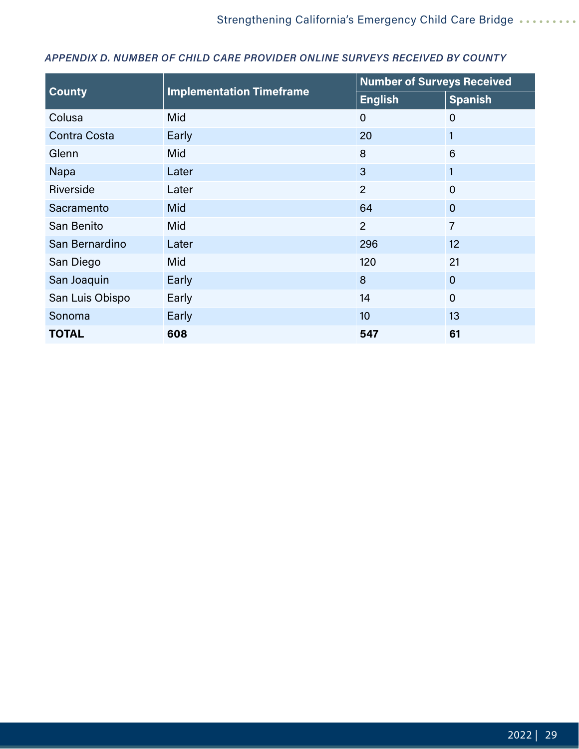| <b>County</b>       | <b>Implementation Timeframe</b> | <b>Number of Surveys Received</b> |                |
|---------------------|---------------------------------|-----------------------------------|----------------|
|                     |                                 | <b>English</b>                    | <b>Spanish</b> |
| Colusa              | Mid                             | $\mathbf 0$                       | $\mathbf 0$    |
| <b>Contra Costa</b> | Early                           | 20                                | $\mathbf{1}$   |
| Glenn               | <b>Mid</b>                      | 8                                 | 6              |
| Napa                | Later                           | $\mathbf{3}$                      | $\mathbf{1}$   |
| Riverside           | Later                           | $\overline{2}$                    | $\overline{0}$ |
| Sacramento          | <b>Mid</b>                      | 64                                | $\overline{0}$ |
| San Benito          | Mid                             | $\overline{2}$                    | $\overline{7}$ |
| San Bernardino      | Later                           | 296                               | 12             |
| San Diego           | Mid                             | 120                               | 21             |
| San Joaquin         | Early                           | 8                                 | $\overline{0}$ |
| San Luis Obispo     | Early                           | 14                                | $\overline{0}$ |
| Sonoma              | Early                           | 10                                | 13             |
| <b>TOTAL</b>        | 608                             | 547                               | 61             |

#### *APPENDIX D. NUMBER OF CHILD CARE PROVIDER ONLINE SURVEYS RECEIVED BY COUNTY*